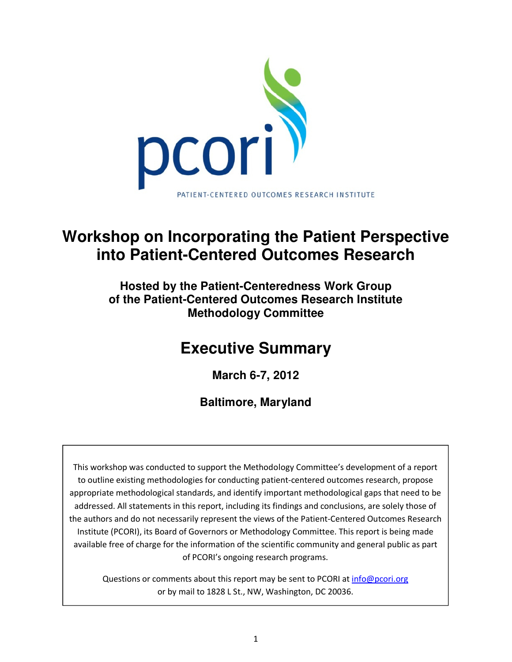

## **Workshop on Incorporating the Patient Perspective into Patient-Centered Outcomes Research**

**Hosted by the Patient-Centeredness Work Group of the Patient-Centered Outcomes Research Institute Methodology Committee** 

# **Executive Summary**

**March 6-7, 2012** 

**Baltimore, Maryland** 

This workshop was conducted to support the Methodology Committee's development of a report to outline existing methodologies for conducting patient-centered outcomes research, propose appropriate methodological standards, and identify important methodological gaps that need to be addressed. All statements in this report, including its findings and conclusions, are solely those of the authors and do not necessarily represent the views of the Patient-Centered Outcomes Research Institute (PCORI), its Board of Governors or Methodology Committee. This report is being made available free of charge for the information of the scientific community and general public as part of PCORI's ongoing research programs.

Questions or comments about this report may be sent to PCORI at info@pcori.org or by mail to 1828 L St., NW, Washington, DC 20036.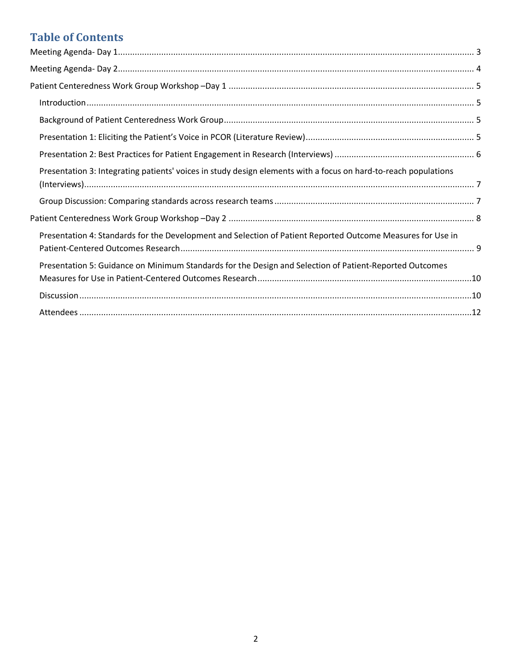## **Table of Contents**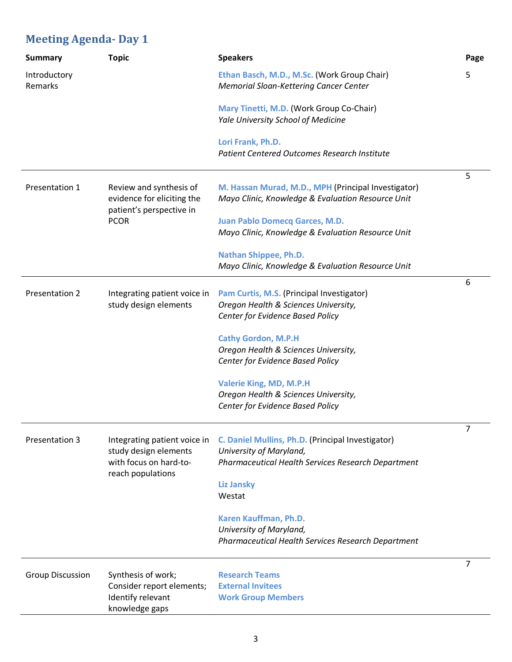## **Meeting Agenda- Day 1**

| <b>Summary</b>          | <b>Topic</b>                                                                                         | <b>Speakers</b>                                                                                                                                                   | Page           |
|-------------------------|------------------------------------------------------------------------------------------------------|-------------------------------------------------------------------------------------------------------------------------------------------------------------------|----------------|
| Introductory<br>Remarks |                                                                                                      | Ethan Basch, M.D., M.Sc. (Work Group Chair)<br><b>Memorial Sloan-Kettering Cancer Center</b>                                                                      | 5              |
|                         |                                                                                                      | Mary Tinetti, M.D. (Work Group Co-Chair)<br>Yale University School of Medicine                                                                                    |                |
|                         |                                                                                                      | Lori Frank, Ph.D.<br><b>Patient Centered Outcomes Research Institute</b>                                                                                          |                |
| Presentation 1          | Review and synthesis of<br>evidence for eliciting the<br>patient's perspective in<br><b>PCOR</b>     | M. Hassan Murad, M.D., MPH (Principal Investigator)<br>Mayo Clinic, Knowledge & Evaluation Resource Unit                                                          | 5              |
|                         |                                                                                                      | <b>Juan Pablo Domecq Garces, M.D.</b><br>Mayo Clinic, Knowledge & Evaluation Resource Unit                                                                        |                |
|                         |                                                                                                      | Nathan Shippee, Ph.D.<br>Mayo Clinic, Knowledge & Evaluation Resource Unit                                                                                        |                |
| Presentation 2          | Integrating patient voice in<br>study design elements                                                | Pam Curtis, M.S. (Principal Investigator)<br>Oregon Health & Sciences University,<br>Center for Evidence Based Policy                                             | 6              |
|                         |                                                                                                      | <b>Cathy Gordon, M.P.H</b><br>Oregon Health & Sciences University,<br>Center for Evidence Based Policy                                                            |                |
|                         |                                                                                                      | <b>Valerie King, MD, M.P.H</b><br>Oregon Health & Sciences University,<br>Center for Evidence Based Policy                                                        |                |
| <b>Presentation 3</b>   | Integrating patient voice in<br>study design elements<br>with focus on hard-to-<br>reach populations | C. Daniel Mullins, Ph.D. (Principal Investigator)<br>University of Maryland,<br>Pharmaceutical Health Services Research Department<br><b>Liz Jansky</b><br>Westat | 7              |
|                         |                                                                                                      | Karen Kauffman, Ph.D.<br>University of Maryland,<br>Pharmaceutical Health Services Research Department                                                            |                |
| <b>Group Discussion</b> | Synthesis of work;<br>Consider report elements;<br>Identify relevant<br>knowledge gaps               | <b>Research Teams</b><br><b>External Invitees</b><br><b>Work Group Members</b>                                                                                    | $\overline{7}$ |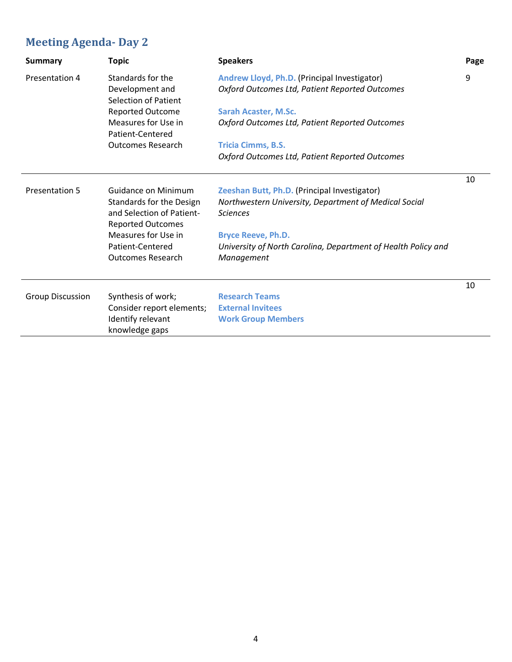## **Meeting Agenda- Day 2**

| <b>Summary</b>          | <b>Topic</b>                            | <b>Speakers</b>                                               | Page |
|-------------------------|-----------------------------------------|---------------------------------------------------------------|------|
| Presentation 4          | Standards for the                       | Andrew Lloyd, Ph.D. (Principal Investigator)                  | 9    |
|                         | Development and<br>Selection of Patient | Oxford Outcomes Ltd, Patient Reported Outcomes                |      |
|                         | Reported Outcome                        | <b>Sarah Acaster, M.Sc.</b>                                   |      |
|                         | Measures for Use in<br>Patient-Centered | Oxford Outcomes Ltd, Patient Reported Outcomes                |      |
|                         | <b>Outcomes Research</b>                | <b>Tricia Cimms, B.S.</b>                                     |      |
|                         |                                         | Oxford Outcomes Ltd, Patient Reported Outcomes                |      |
|                         |                                         |                                                               | 10   |
| <b>Presentation 5</b>   | Guidance on Minimum                     | Zeeshan Butt, Ph.D. (Principal Investigator)                  |      |
|                         | Standards for the Design                | Northwestern University, Department of Medical Social         |      |
|                         | and Selection of Patient-               | <b>Sciences</b>                                               |      |
|                         | <b>Reported Outcomes</b>                |                                                               |      |
|                         | Measures for Use in                     | <b>Bryce Reeve, Ph.D.</b>                                     |      |
|                         | Patient-Centered                        | University of North Carolina, Department of Health Policy and |      |
|                         | <b>Outcomes Research</b>                | Management                                                    |      |
|                         |                                         |                                                               | 10   |
| <b>Group Discussion</b> | Synthesis of work;                      | <b>Research Teams</b>                                         |      |
|                         | Consider report elements;               | <b>External Invitees</b>                                      |      |
|                         | Identify relevant                       | <b>Work Group Members</b>                                     |      |
|                         | knowledge gaps                          |                                                               |      |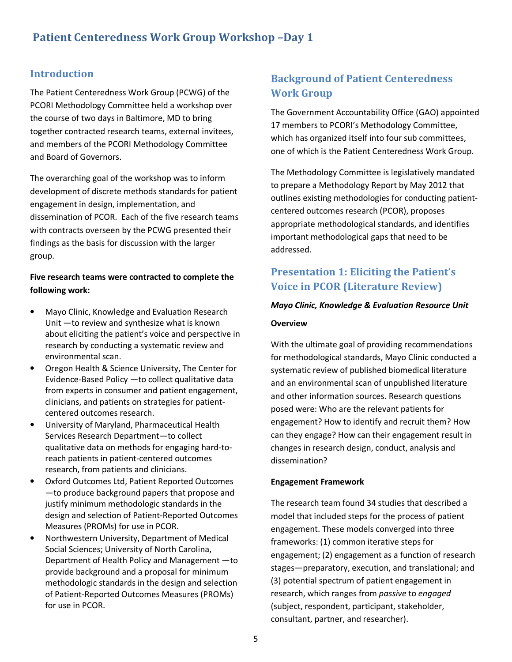### **Introduction**

The Patient Centeredness Work Group (PCWG) of the PCORI Methodology Committee held a workshop over the course of two days in Baltimore, MD to bring together contracted research teams, external invitees, and members of the PCORI Methodology Committee and Board of Governors.

The overarching goal of the workshop was to inform development of discrete methods standards for patient engagement in design, implementation, and dissemination of PCOR. Each of the five research teams with contracts overseen by the PCWG presented their findings as the basis for discussion with the larger group.

#### **Five research teams were contracted to complete the following work:**

- Mayo Clinic, Knowledge and Evaluation Research Unit —to review and synthesize what is known about eliciting the patient's voice and perspective in research by conducting a systematic review and environmental scan.
- Oregon Health & Science University, The Center for Evidence-Based Policy —to collect qualitative data from experts in consumer and patient engagement, clinicians, and patients on strategies for patientcentered outcomes research.
- University of Maryland, Pharmaceutical Health Services Research Department—to collect qualitative data on methods for engaging hard-toreach patients in patient-centered outcomes research, from patients and clinicians.
- Oxford Outcomes Ltd, Patient Reported Outcomes —to produce background papers that propose and justify minimum methodologic standards in the design and selection of Patient-Reported Outcomes Measures (PROMs) for use in PCOR.
- Northwestern University, Department of Medical Social Sciences; University of North Carolina, Department of Health Policy and Management —to provide background and a proposal for minimum methodologic standards in the design and selection of Patient-Reported Outcomes Measures (PROMs) for use in PCOR.

## **Background of Patient Centeredness Work Group**

The Government Accountability Office (GAO) appointed 17 members to PCORI's Methodology Committee, which has organized itself into four sub committees, one of which is the Patient Centeredness Work Group.

The Methodology Committee is legislatively mandated to prepare a Methodology Report by May 2012 that outlines existing methodologies for conducting patientcentered outcomes research (PCOR), proposes appropriate methodological standards, and identifies important methodological gaps that need to be addressed.

## **Presentation 1: Eliciting the Patient's Voice in PCOR (Literature Review)**

## *Mayo Clinic, Knowledge & Evaluation Resource Unit*  **Overview**

With the ultimate goal of providing recommendations for methodological standards, Mayo Clinic conducted a systematic review of published biomedical literature and an environmental scan of unpublished literature and other information sources. Research questions posed were: Who are the relevant patients for engagement? How to identify and recruit them? How can they engage? How can their engagement result in changes in research design, conduct, analysis and dissemination?

#### **Engagement Framework**

The research team found 34 studies that described a model that included steps for the process of patient engagement. These models converged into three frameworks: (1) common iterative steps for engagement; (2) engagement as a function of research stages—preparatory, execution, and translational; and (3) potential spectrum of patient engagement in research, which ranges from *passive* to *engaged* (subject, respondent, participant, stakeholder, consultant, partner, and researcher).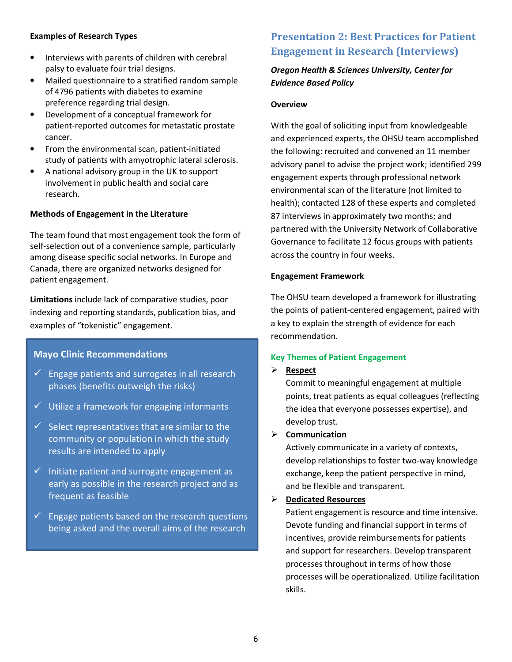#### **Examples of Research Types**

- Interviews with parents of children with cerebral palsy to evaluate four trial designs.
- Mailed questionnaire to a stratified random sample of 4796 patients with diabetes to examine preference regarding trial design.
- Development of a conceptual framework for patient-reported outcomes for metastatic prostate cancer.
- From the environmental scan, patient-initiated study of patients with amyotrophic lateral sclerosis.
- A national advisory group in the UK to support involvement in public health and social care research.

#### **Methods of Engagement in the Literature**

The team found that most engagement took the form of self-selection out of a convenience sample, particularly among disease specific social networks. In Europe and Canada, there are organized networks designed for patient engagement.

**Limitations** include lack of comparative studies, poor indexing and reporting standards, publication bias, and examples of "tokenistic" engagement.

#### **Mayo Clinic Recommendations**

- $\checkmark$  Engage patients and surrogates in all research phases (benefits outweigh the risks)
- $\checkmark$  Utilize a framework for engaging informants
- $\checkmark$  Select representatives that are similar to the community or population in which the study results are intended to apply
- $\checkmark$  Initiate patient and surrogate engagement as early as possible in the research project and as frequent as feasible
- $\checkmark$  Engage patients based on the research questions being asked and the overall aims of the research

## **Presentation 2: Best Practices for Patient Engagement in Research (Interviews)**

### *Oregon Health & Sciences University, Center for Evidence Based Policy*

#### **Overview**

With the goal of soliciting input from knowledgeable and experienced experts, the OHSU team accomplished the following: recruited and convened an 11 member advisory panel to advise the project work; identified 299 engagement experts through professional network environmental scan of the literature (not limited to health); contacted 128 of these experts and completed 87 interviews in approximately two months; and partnered with the University Network of Collaborative Governance to facilitate 12 focus groups with patients across the country in four weeks.

#### **Engagement Framework**

The OHSU team developed a framework for illustrating the points of patient-centered engagement, paired with a key to explain the strength of evidence for each recommendation.

#### **Key Themes of Patient Engagement**

#### $\blacktriangleright$ **Respect**

Commit to meaningful engagement at multiple points, treat patients as equal colleagues (reflecting the idea that everyone possesses expertise), and develop trust.

#### - **Communication**

Actively communicate in a variety of contexts, develop relationships to foster two-way knowledge exchange, keep the patient perspective in mind, and be flexible and transparent.

### - **Dedicated Resources**

Patient engagement is resource and time intensive. Devote funding and financial support in terms of incentives, provide reimbursements for patients and support for researchers. Develop transparent processes throughout in terms of how those processes will be operationalized. Utilize facilitation skills.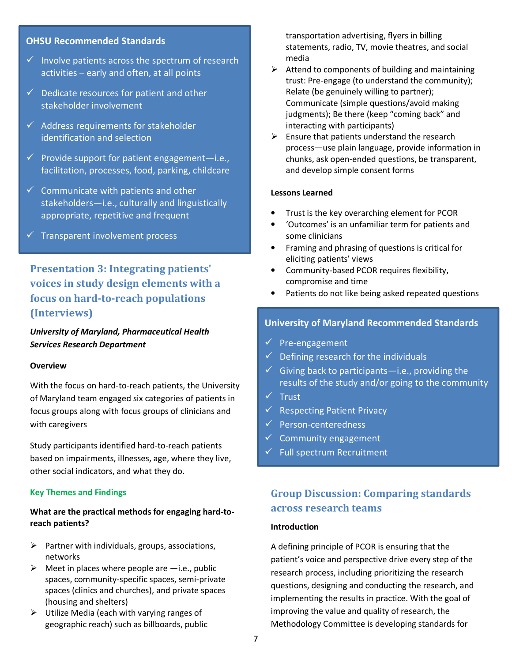#### **OHSU Recommended Standards**

- $\checkmark$  Involve patients across the spectrum of research activities – early and often, at all points
- $\checkmark$  Dedicate resources for patient and other stakeholder involvement
- $\checkmark$  Address requirements for stakeholder identification and selection
- $\checkmark$  Provide support for patient engagement-i.e., facilitation, processes, food, parking, childcare
- $\checkmark$  Communicate with patients and other stakeholders—i.e., culturally and linguistically appropriate, repetitive and frequent
- $\checkmark$  Transparent involvement process

## **Presentation 3: Integrating patients' voices in study design elements with a focus on hard-to-reach populations (Interviews)**

*University of Maryland, Pharmaceutical Health Services Research Department* 

#### **Overview**

With the focus on hard-to-reach patients, the University of Maryland team engaged six categories of patients in focus groups along with focus groups of clinicians and with caregivers

Study participants identified hard-to-reach patients based on impairments, illnesses, age, where they live, other social indicators, and what they do.

#### **Key Themes and Findings**

#### **What are the practical methods for engaging hard-toreach patients?**

- > Partner with individuals, groups, associations, networks
- $\triangleright$  Meet in places where people are  $-i.e.,$  public spaces, community-specific spaces, semi-private spaces (clinics and churches), and private spaces (housing and shelters)
- > Utilize Media (each with varying ranges of geographic reach) such as billboards, public

transportation advertising, flyers in billing statements, radio, TV, movie theatres, and social media

- > Attend to components of building and maintaining trust: Pre-engage (to understand the community); Relate (be genuinely willing to partner); Communicate (simple questions/avoid making judgments); Be there (keep "coming back" and interacting with participants)
- Ensure that patients understand the research process—use plain language, provide information in chunks, ask open-ended questions, be transparent, and develop simple consent forms

#### **Lessons Learned**

- Trust is the key overarching element for PCOR
- 'Outcomes' is an unfamiliar term for patients and some clinicians
- Framing and phrasing of questions is critical for eliciting patients' views
- Community-based PCOR requires flexibility, compromise and time
- Patients do not like being asked repeated questions

#### **University of Maryland Recommended Standards**

- $\checkmark$  Pre-engagement
- $\checkmark$  Defining research for the individuals
- $\checkmark$  Giving back to participants—i.e., providing the results of the study and/or going to the community
- $\checkmark$  Trust
- Respecting Patient Privacy
- $\checkmark$  Person-centeredness
- $\checkmark$  Community engagement
- $\checkmark$  Full spectrum Recruitment

## **Group Discussion: Comparing standards across research teams**

#### **Introduction**

A defining principle of PCOR is ensuring that the patient's voice and perspective drive every step of the research process, including prioritizing the research questions, designing and conducting the research, and implementing the results in practice. With the goal of improving the value and quality of research, the Methodology Committee is developing standards for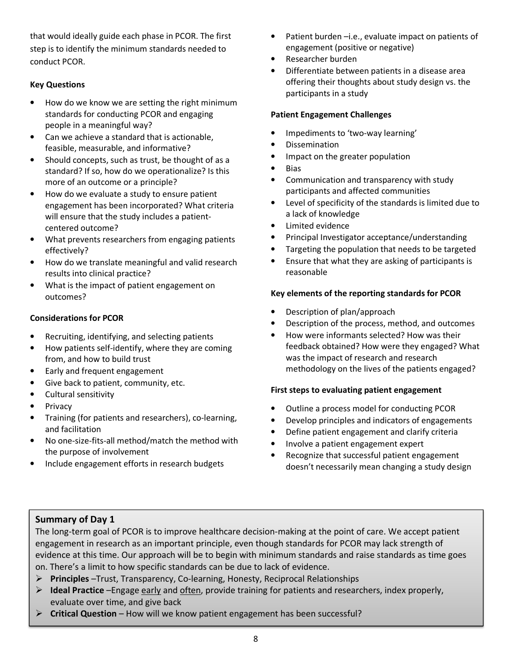that would ideally guide each phase in PCOR. The first step is to identify the minimum standards needed to conduct PCOR.

#### **Key Questions**

- How do we know we are setting the right minimum standards for conducting PCOR and engaging people in a meaningful way?
- Can we achieve a standard that is actionable, feasible, measurable, and informative?
- Should concepts, such as trust, be thought of as a standard? If so, how do we operationalize? Is this more of an outcome or a principle?
- How do we evaluate a study to ensure patient engagement has been incorporated? What criteria will ensure that the study includes a patientcentered outcome?
- What prevents researchers from engaging patients effectively?
- How do we translate meaningful and valid research results into clinical practice?
- What is the impact of patient engagement on outcomes?

#### **Considerations for PCOR**

- Recruiting, identifying, and selecting patients
- How patients self-identify, where they are coming from, and how to build trust
- Early and frequent engagement
- Give back to patient, community, etc.
- Cultural sensitivity
- **Privacy**
- Training (for patients and researchers), co-learning, and facilitation
- No one-size-fits-all method/match the method with the purpose of involvement
- Include engagement efforts in research budgets
- Patient burden -i.e., evaluate impact on patients of engagement (positive or negative)
- Researcher burden
- Differentiate between patients in a disease area offering their thoughts about study design vs. the participants in a study

#### **Patient Engagement Challenges**

- Impediments to 'two-way learning'
- Dissemination
- Impact on the greater population
- Bias
- Communication and transparency with study participants and affected communities
- Level of specificity of the standards is limited due to a lack of knowledge
- Limited evidence
- Principal Investigator acceptance/understanding
- Targeting the population that needs to be targeted
- Ensure that what they are asking of participants is reasonable

#### **Key elements of the reporting standards for PCOR**

- Description of plan/approach
- Description of the process, method, and outcomes
- How were informants selected? How was their feedback obtained? How were they engaged? What was the impact of research and research methodology on the lives of the patients engaged?

#### **First steps to evaluating patient engagement**

- Outline a process model for conducting PCOR
- Develop principles and indicators of engagements
- Define patient engagement and clarify criteria
- Involve a patient engagement expert
- Recognize that successful patient engagement doesn't necessarily mean changing a study design

### **Summary of Day 1**

The long-term goal of PCOR is to improve healthcare decision-making at the point of care. We accept patient engagement in research as an important principle, even though standards for PCOR may lack strength of evidence at this time. Our approach will be to begin with minimum standards and raise standards as time goes on. There's a limit to how specific standards can be due to lack of evidence.

- **Principles** –Trust, Transparency, Co-learning, Honesty, Reciprocal Relationships
- > **Ideal Practice** -Engage early and often, provide training for patients and researchers, index properly, evaluate over time, and give back
- > **Critical Question** How will we know patient engagement has been successful?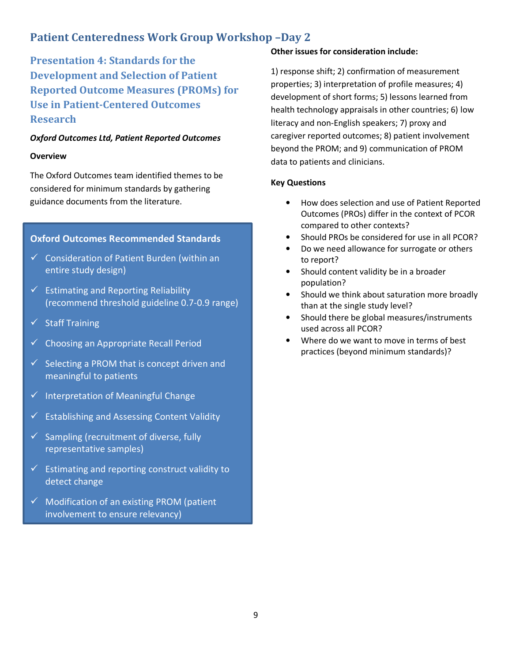## **Patient Centeredness Work Group Workshop –Day 2**

**Presentation 4: Standards for the Development and Selection of Patient Reported Outcome Measures (PROMs) for Use in Patient-Centered Outcomes Research** 

#### *Oxford Outcomes Ltd, Patient Reported Outcomes*

#### **Overview**

The Oxford Outcomes team identified themes to be considered for minimum standards by gathering guidance documents from the literature.

#### **Oxford Outcomes Recommended Standards**

- $\checkmark$  Consideration of Patient Burden (within an entire study design)
- $\checkmark$  Estimating and Reporting Reliability (recommend threshold guideline 0.7-0.9 range)
- $\checkmark$  Staff Training
- $\checkmark$  Choosing an Appropriate Recall Period
- $\checkmark$  Selecting a PROM that is concept driven and meaningful to patients
- $\checkmark$  Interpretation of Meaningful Change
- $\checkmark$  Establishing and Assessing Content Validity
- $\checkmark$  Sampling (recruitment of diverse, fully representative samples)
- $\checkmark$  Estimating and reporting construct validity to detect change
- $\checkmark$  Modification of an existing PROM (patient involvement to ensure relevancy)

#### **Other issues for consideration include:**

1) response shift; 2) confirmation of measurement properties; 3) interpretation of profile measures; 4) development of short forms; 5) lessons learned from health technology appraisals in other countries; 6) low literacy and non-English speakers; 7) proxy and caregiver reported outcomes; 8) patient involvement beyond the PROM; and 9) communication of PROM data to patients and clinicians.

#### **Key Questions**

- How does selection and use of Patient Reported Outcomes (PROs) differ in the context of PCOR compared to other contexts?
- Should PROs be considered for use in all PCOR?
- Do we need allowance for surrogate or others to report?
- Should content validity be in a broader population?
- Should we think about saturation more broadly than at the single study level?
- Should there be global measures/instruments used across all PCOR?
- Where do we want to move in terms of best practices (beyond minimum standards)?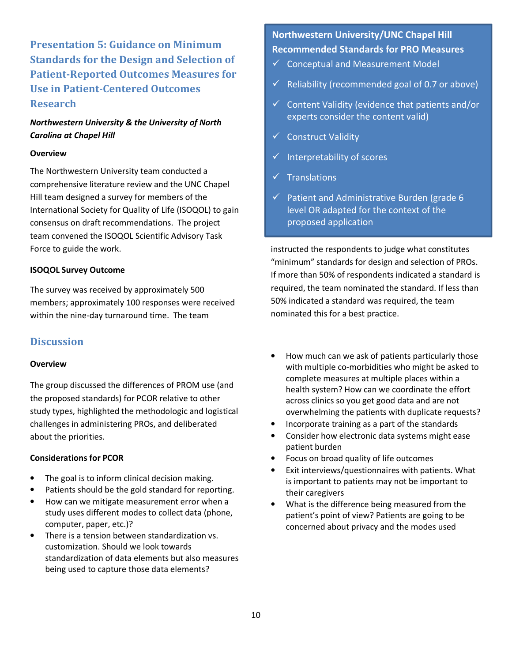**Presentation 5: Guidance on Minimum Standards for the Design and Selection of Patient-Reported Outcomes Measures for Use in Patient-Centered Outcomes Research** 

#### *Northwestern University & the University of North Carolina at Chapel Hill*

#### **Overview**

The Northwestern University team conducted a comprehensive literature review and the UNC Chapel Hill team designed a survey for members of the International Society for Quality of Life (ISOQOL) to gain consensus on draft recommendations. The project team convened the ISOQOL Scientific Advisory Task Force to guide the work.

#### **ISOQOL Survey Outcome**

The survey was received by approximately 500 members; approximately 100 responses were received within the nine-day turnaround time. The team

#### **Discussion**

#### **Overview**

The group discussed the differences of PROM use (and the proposed standards) for PCOR relative to other study types, highlighted the methodologic and logistical challenges in administering PROs, and deliberated about the priorities.

#### **Considerations for PCOR**

- The goal is to inform clinical decision making.
- Patients should be the gold standard for reporting.
- How can we mitigate measurement error when a study uses different modes to collect data (phone, computer, paper, etc.)?
- There is a tension between standardization vs. customization. Should we look towards standardization of data elements but also measures being used to capture those data elements?

**Northwestern University/UNC Chapel Hill Recommended Standards for PRO Measures** 

- $\checkmark$  Conceptual and Measurement Model
- $\checkmark$  Reliability (recommended goal of 0.7 or above)
- $\checkmark$  Content Validity (evidence that patients and/or experts consider the content valid)
- $\checkmark$  Construct Validity
- $\checkmark$  Interpretability of scores
- $\checkmark$  Translations
- $\checkmark$  Patient and Administrative Burden (grade 6 level OR adapted for the context of the proposed application

instructed the respondents to judge what constitutes "minimum" standards for design and selection of PROs. If more than 50% of respondents indicated a standard is required, the team nominated the standard. If less than 50% indicated a standard was required, the team nominated this for a best practice.

- How much can we ask of patients particularly those with multiple co-morbidities who might be asked to complete measures at multiple places within a health system? How can we coordinate the effort across clinics so you get good data and are not overwhelming the patients with duplicate requests?
- Incorporate training as a part of the standards
- Consider how electronic data systems might ease patient burden
- Focus on broad quality of life outcomes
- Exit interviews/questionnaires with patients. What is important to patients may not be important to their caregivers
- What is the difference being measured from the patient's point of view? Patients are going to be concerned about privacy and the modes used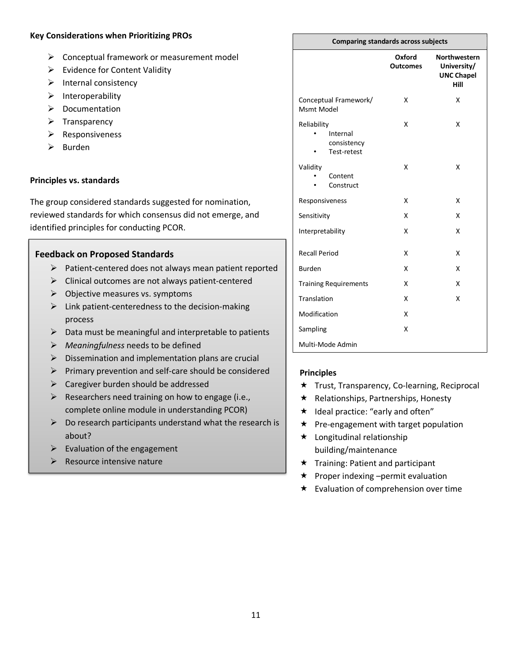#### **Key Considerations when Prioritizing PROs**

- > Conceptual framework or measurement model
- > Evidence for Content Validity
- > Internal consistency
- > Interoperability
- > Documentation
- > Transparency
- > Responsiveness
- Burden

#### **Principles vs. standards**

The group considered standards suggested for nomination, reviewed standards for which consensus did not emerge, and identified principles for conducting PCOR.

#### **Feedback on Proposed Standards**

- > Patient-centered does not always mean patient reported
- > Clinical outcomes are not always patient-centered
- > Objective measures vs. symptoms
- > Link patient-centeredness to the decision-making process
- > Data must be meaningful and interpretable to patients
- *Meaningfulness* needs to be defined
- > Dissemination and implementation plans are crucial
- > Primary prevention and self-care should be considered
- > Caregiver burden should be addressed
- > Researchers need training on how to engage (i.e., complete online module in understanding PCOR)
- Do research participants understand what the research is about?
- > Evaluation of the engagement
- > Resource intensive nature

#### **Comparing standards across subjects**

|                                                       | Oxford<br><b>Outcomes</b> | <b>Northwestern</b><br>University/<br><b>UNC Chapel</b><br>Hill |
|-------------------------------------------------------|---------------------------|-----------------------------------------------------------------|
| Conceptual Framework/<br>Msmt Model                   | x                         | X                                                               |
| Reliability<br>Internal<br>consistency<br>Test-retest | x                         | X                                                               |
| Validity<br>Content<br>Construct                      | x                         | X                                                               |
| Responsiveness                                        | x                         | X                                                               |
| Sensitivity                                           | x                         | X                                                               |
| Interpretability                                      | x                         | X                                                               |
| <b>Recall Period</b>                                  | x                         | X                                                               |
| <b>Burden</b>                                         | X                         | X                                                               |
| <b>Training Requirements</b>                          | x                         | x                                                               |
| Translation                                           | x                         | X                                                               |
| Modification                                          | x                         |                                                                 |
| Sampling                                              | X                         |                                                                 |
| Multi-Mode Admin                                      |                           |                                                                 |

#### **Principles**

- Trust, Transparency, Co-learning, Reciprocal
- $\star$  Relationships, Partnerships, Honesty
- $\star$  Ideal practice: "early and often"
- $\star$  Pre-engagement with target population
- $\star$  Longitudinal relationship building/maintenance
- $\star$  Training: Patient and participant
- $\star$  Proper indexing –permit evaluation
- $\star$  Evaluation of comprehension over time